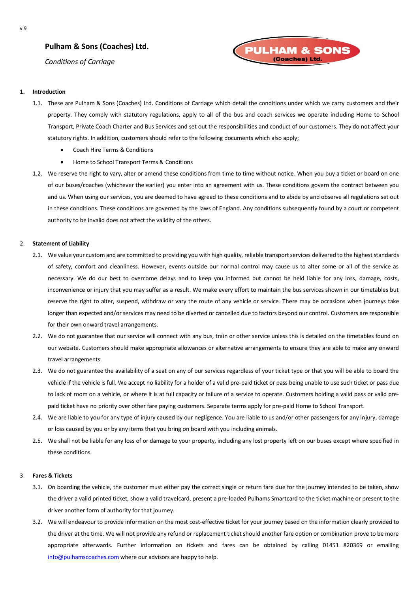# **Pulham & Sons (Coaches) Ltd.**

*Conditions of Carriage*



# **1. Introduction**

- 1.1. These are Pulham & Sons (Coaches) Ltd. Conditions of Carriage which detail the conditions under which we carry customers and their property. They comply with statutory regulations, apply to all of the bus and coach services we operate including Home to School Transport, Private Coach Charter and Bus Services and set out the responsibilities and conduct of our customers. They do not affect your statutory rights. In addition, customers should refer to the following documents which also apply;
	- Coach Hire Terms & Conditions
	- Home to School Transport Terms & Conditions
- 1.2. We reserve the right to vary, alter or amend these conditions from time to time without notice. When you buy a ticket or board on one of our buses/coaches (whichever the earlier) you enter into an agreement with us. These conditions govern the contract between you and us. When using our services, you are deemed to have agreed to these conditions and to abide by and observe all regulations set out in these conditions. These conditions are governed by the laws of England. Any conditions subsequently found by a court or competent authority to be invalid does not affect the validity of the others.

# 2. **Statement of Liability**

- 2.1. We value your custom and are committed to providing you with high quality, reliable transport services delivered to the highest standards of safety, comfort and cleanliness. However, events outside our normal control may cause us to alter some or all of the service as necessary. We do our best to overcome delays and to keep you informed but cannot be held liable for any loss, damage, costs, inconvenience or injury that you may suffer as a result. We make every effort to maintain the bus services shown in our timetables but reserve the right to alter, suspend, withdraw or vary the route of any vehicle or service. There may be occasions when journeys take longer than expected and/or services may need to be diverted or cancelled due to factors beyond our control. Customers are responsible for their own onward travel arrangements.
- 2.2. We do not guarantee that our service will connect with any bus, train or other service unless this is detailed on the timetables found on our website. Customers should make appropriate allowances or alternative arrangements to ensure they are able to make any onward travel arrangements.
- 2.3. We do not guarantee the availability of a seat on any of our services regardless of your ticket type or that you will be able to board the vehicle if the vehicle is full. We accept no liability for a holder of a valid pre-paid ticket or pass being unable to use such ticket or pass due to lack of room on a vehicle, or where it is at full capacity or failure of a service to operate. Customers holding a valid pass or valid prepaid ticket have no priority over other fare paying customers. Separate terms apply for pre-paid Home to School Transport.
- 2.4. We are liable to you for any type of injury caused by our negligence. You are liable to us and/or other passengers for any injury, damage or loss caused by you or by any items that you bring on board with you including animals.
- 2.5. We shall not be liable for any loss of or damage to your property, including any lost property left on our buses except where specified in these conditions.

# 3. **Fares & Tickets**

- 3.1. On boarding the vehicle, the customer must either pay the correct single or return fare due for the journey intended to be taken, show the driver a valid printed ticket, show a valid travelcard, present a pre-loaded Pulhams Smartcard to the ticket machine or present to the driver another form of authority for that journey.
- 3.2. We will endeavour to provide information on the most cost-effective ticket for your journey based on the information clearly provided to the driver at the time. We will not provide any refund or replacement ticket should another fare option or combination prove to be more appropriate afterwards. Further information on tickets and fares can be obtained by calling 01451 820369 or emailing [info@pulhamscoaches.com](mailto:info@pulhamscoaches.com) where our advisors are happy to help.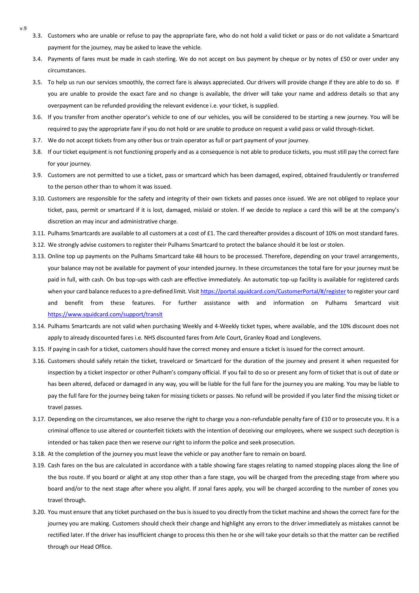- v.9
- 3.3. Customers who are unable or refuse to pay the appropriate fare, who do not hold a valid ticket or pass or do not validate a Smartcard payment for the journey, may be asked to leave the vehicle.
- 3.4. Payments of fares must be made in cash sterling. We do not accept on bus payment by cheque or by notes of £50 or over under any circumstances.
- 3.5. To help us run our services smoothly, the correct fare is always appreciated. Our drivers will provide change if they are able to do so. If you are unable to provide the exact fare and no change is available, the driver will take your name and address details so that any overpayment can be refunded providing the relevant evidence i.e. your ticket, is supplied.
- 3.6. If you transfer from another operator's vehicle to one of our vehicles, you will be considered to be starting a new journey. You will be required to pay the appropriate fare if you do not hold or are unable to produce on request a valid pass or valid through-ticket.
- 3.7. We do not accept tickets from any other bus or train operator as full or part payment of your journey.
- 3.8. If our ticket equipment is not functioning properly and as a consequence is not able to produce tickets, you must still pay the correct fare for your journey.
- 3.9. Customers are not permitted to use a ticket, pass or smartcard which has been damaged, expired, obtained fraudulently or transferred to the person other than to whom it was issued.
- 3.10. Customers are responsible for the safety and integrity of their own tickets and passes once issued. We are not obliged to replace your ticket, pass, permit or smartcard if it is lost, damaged, mislaid or stolen. If we decide to replace a card this will be at the company's discretion an may incur and administrative charge.
- 3.11. Pulhams Smartcards are available to all customers at a cost of £1. The card thereafter provides a discount of 10% on most standard fares.
- 3.12. We strongly advise customers to register their Pulhams Smartcard to protect the balance should it be lost or stolen.
- 3.13. Online top up payments on the Pulhams Smartcard take 48 hours to be processed. Therefore, depending on your travel arrangements, your balance may not be available for payment of your intended journey. In these circumstances the total fare for your journey must be paid in full, with cash. On bus top-ups with cash are effective immediately. An automatic top-up facility is available for registered cards when your card balance reduces to a pre-defined limit. Visit https://portal.squidcard.com/CustomerPortal/#/register to register your card and benefit from these features. For further assistance with and information on Pulhams Smartcard visit <https://www.squidcard.com/support/transit>
- 3.14. Pulhams Smartcards are not valid when purchasing Weekly and 4-Weekly ticket types, where available, and the 10% discount does not apply to already discounted fares i.e. NHS discounted fares from Arle Court, Granley Road and Longlevens.
- 3.15. If paying in cash for a ticket, customers should have the correct money and ensure a ticket is issued for the correct amount.
- 3.16. Customers should safely retain the ticket, travelcard or Smartcard for the duration of the journey and present it when requested for inspection by a ticket inspector or other Pulham's company official. If you fail to do so or present any form of ticket that is out of date or has been altered, defaced or damaged in any way, you will be liable for the full fare for the journey you are making. You may be liable to pay the full fare for the journey being taken for missing tickets or passes. No refund will be provided if you later find the missing ticket or travel passes.
- 3.17. Depending on the circumstances, we also reserve the right to charge you a non-refundable penalty fare of £10 or to prosecute you. It is a criminal offence to use altered or counterfeit tickets with the intention of deceiving our employees, where we suspect such deception is intended or has taken pace then we reserve our right to inform the police and seek prosecution.
- 3.18. At the completion of the journey you must leave the vehicle or pay another fare to remain on board.
- 3.19. Cash fares on the bus are calculated in accordance with a table showing fare stages relating to named stopping places along the line of the bus route. If you board or alight at any stop other than a fare stage, you will be charged from the preceding stage from where you board and/or to the next stage after where you alight. If zonal fares apply, you will be charged according to the number of zones you travel through.
- 3.20. You must ensure that any ticket purchased on the bus is issued to you directly from the ticket machine and shows the correct fare for the journey you are making. Customers should check their change and highlight any errors to the driver immediately as mistakes cannot be rectified later. If the driver has insufficient change to process this then he or she will take your details so that the matter can be rectified through our Head Office.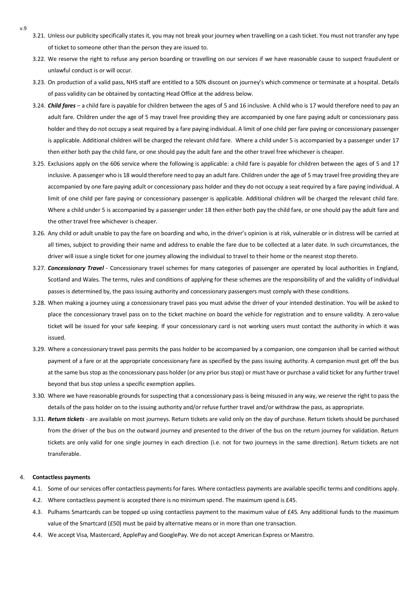- 3.21. Unless our publicity specifically states it, you may not break your journey when travelling on a cash ticket. You must not transfer any type of ticket to someone other than the person they are issued to.
- 3.22. We reserve the right to refuse any person boarding or travelling on our services if we have reasonable cause to suspect fraudulent or unlawful conduct is or will occur.
- 3.23. On production of a valid pass, NHS staff are entitled to a 50% discount on journey's which commence or terminate at a hospital. Details of pass validity can be obtained by contacting Head Office at the address below.
- 3.24. *Child fares –* a child fare is payable for children between the ages of 5 and 16 inclusive. A child who is 17 would therefore need to pay an adult fare. Children under the age of 5 may travel free providing they are accompanied by one fare paying adult or concessionary pass holder and they do not occupy a seat required by a fare paying individual. A limit of one child per fare paying or concessionary passenger is applicable. Additional children will be charged the relevant child fare. Where a child under 5 is accompanied by a passenger under 17 then either both pay the child fare, or one should pay the adult fare and the other travel free whichever is cheaper.
- 3.25. Exclusions apply on the 606 service where the following is applicable: a child fare is payable for children between the ages of 5 and 17 inclusive. A passenger who is 18 would therefore need to pay an adult fare. Children under the age of 5 may travel free providing they are accompanied by one fare paying adult or concessionary pass holder and they do not occupy a seat required by a fare paying individual. A limit of one child per fare paying or concessionary passenger is applicable. Additional children will be charged the relevant child fare. Where a child under 5 is accompanied by a passenger under 18 then either both pay the child fare, or one should pay the adult fare and the other travel free whichever is cheaper.
- 3.26. Any child or adult unable to pay the fare on boarding and who, in the driver's opinion is at risk, vulnerable or in distress will be carried at all times, subject to providing their name and address to enable the fare due to be collected at a later date. In such circumstances, the driver will issue a single ticket for one journey allowing the individual to travel to their home or the nearest stop thereto.
- 3.27. *Concessionary Travel -* Concessionary travel schemes for many categories of passenger are operated by local authorities in England, Scotland and Wales. The terms, rules and conditions of applying for these schemes are the responsibility of and the validity of individual passes is determined by, the pass issuing authority and concessionary passengers must comply with these conditions.
- 3.28. When making a journey using a concessionary travel pass you must advise the driver of your intended destination. You will be asked to place the concessionary travel pass on to the ticket machine on board the vehicle for registration and to ensure validity. A zero-value ticket will be issued for your safe keeping. If your concessionary card is not working users must contact the authority in which it was issued.
- 3.29. Where a concessionary travel pass permits the pass holder to be accompanied by a companion, one companion shall be carried without payment of a fare or at the appropriate concessionary fare as specified by the pass issuing authority. A companion must get off the bus at the same bus stop as the concessionary pass holder (or any prior bus stop) or must have or purchase a valid ticket for any further travel beyond that bus stop unless a specific exemption applies.
- 3.30. Where we have reasonable grounds for suspecting that a concessionary pass is being misused in any way, we reserve the right to pass the details of the pass holder on to the issuing authority and/or refuse further travel and/or withdraw the pass, as appropriate.
- 3.31. *Return tickets -* are available on most journeys. Return tickets are valid only on the day of purchase. Return tickets should be purchased from the driver of the bus on the outward journey and presented to the driver of the bus on the return journey for validation. Return tickets are only valid for one single journey in each direction (i.e. not for two journeys in the same direction). Return tickets are not transferable.

### 4. **Contactless payments**

v.9

- 4.1. Some of our services offer contactless payments for fares. Where contactless payments are available specific terms and conditions apply.
- 4.2. Where contactless payment is accepted there is no minimum spend. The maximum spend is £45.
- 4.3. Pulhams Smartcards can be topped up using contactless payment to the maximum value of £45. Any additional funds to the maximum value of the Smartcard (£50) must be paid by alternative means or in more than one transaction.
- 4.4. We accept Visa, Mastercard, ApplePay and GooglePay. We do not accept American Express or Maestro.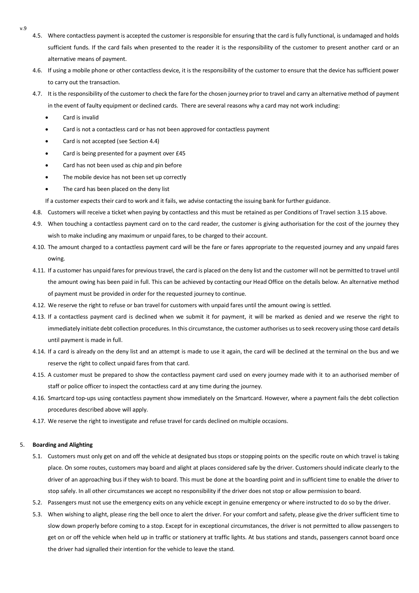- v.9
- 4.5. Where contactless payment is accepted the customer is responsible for ensuring that the card is fully functional, is undamaged and holds sufficient funds. If the card fails when presented to the reader it is the responsibility of the customer to present another card or an alternative means of payment.
- 4.6. If using a mobile phone or other contactless device, it is the responsibility of the customer to ensure that the device has sufficient power to carry out the transaction.
- 4.7. It is the responsibility of the customer to check the fare for the chosen journey prior to travel and carry an alternative method of payment in the event of faulty equipment or declined cards. There are several reasons why a card may not work including:
	- Card is invalid
	- Card is not a contactless card or has not been approved for contactless payment
	- Card is not accepted (see Section 4.4)
	- Card is being presented for a payment over £45
	- Card has not been used as chip and pin before
	- The mobile device has not been set up correctly
	- The card has been placed on the deny list

If a customer expects their card to work and it fails, we advise contacting the issuing bank for further guidance.

- 4.8. Customers will receive a ticket when paying by contactless and this must be retained as per Conditions of Travel section 3.15 above.
- 4.9. When touching a contactless payment card on to the card reader, the customer is giving authorisation for the cost of the journey they wish to make including any maximum or unpaid fares, to be charged to their account.
- 4.10. The amount charged to a contactless payment card will be the fare or fares appropriate to the requested journey and any unpaid fares owing.
- 4.11. If a customer has unpaid fares for previous travel, the card is placed on the deny list and the customer will not be permitted to travel until the amount owing has been paid in full. This can be achieved by contacting our Head Office on the details below. An alternative method of payment must be provided in order for the requested journey to continue.
- 4.12. We reserve the right to refuse or ban travel for customers with unpaid fares until the amount owing is settled.
- 4.13. If a contactless payment card is declined when we submit it for payment, it will be marked as denied and we reserve the right to immediately initiate debt collection procedures. In this circumstance, the customer authorises us to seek recovery using those card details until payment is made in full.
- 4.14. If a card is already on the deny list and an attempt is made to use it again, the card will be declined at the terminal on the bus and we reserve the right to collect unpaid fares from that card.
- 4.15. A customer must be prepared to show the contactless payment card used on every journey made with it to an authorised member of staff or police officer to inspect the contactless card at any time during the journey.
- 4.16. Smartcard top-ups using contactless payment show immediately on the Smartcard. However, where a payment fails the debt collection procedures described above will apply.
- 4.17. We reserve the right to investigate and refuse travel for cards declined on multiple occasions.

# 5. **Boarding and Alighting**

- 5.1. Customers must only get on and off the vehicle at designated bus stops or stopping points on the specific route on which travel is taking place. On some routes, customers may board and alight at places considered safe by the driver. Customers should indicate clearly to the driver of an approaching bus if they wish to board. This must be done at the boarding point and in sufficient time to enable the driver to stop safely. In all other circumstances we accept no responsibility if the driver does not stop or allow permission to board.
- 5.2. Passengers must not use the emergency exits on any vehicle except in genuine emergency or where instructed to do so by the driver.
- 5.3. When wishing to alight, please ring the bell once to alert the driver. For your comfort and safety, please give the driver sufficient time to slow down properly before coming to a stop. Except for in exceptional circumstances, the driver is not permitted to allow passengers to get on or off the vehicle when held up in traffic or stationery at traffic lights. At bus stations and stands, passengers cannot board once the driver had signalled their intention for the vehicle to leave the stand.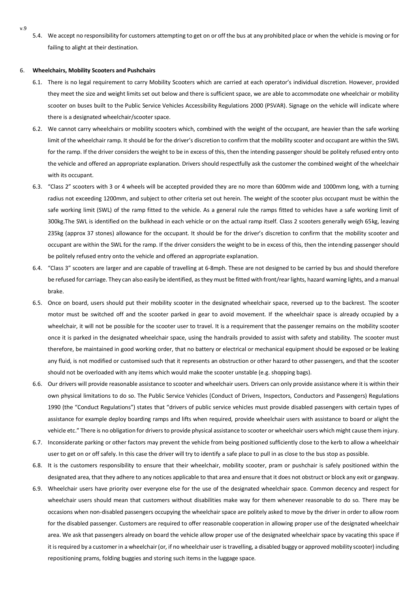5.4. We accept no responsibility for customers attempting to get on or off the bus at any prohibited place or when the vehicle is moving or for failing to alight at their destination.

#### 6. **Wheelchairs, Mobility Scooters and Pushchairs**

- 6.1. There is no legal requirement to carry Mobility Scooters which are carried at each operator's individual discretion. However, provided they meet the size and weight limits set out below and there is sufficient space, we are able to accommodate one wheelchair or mobility scooter on buses built to the Public Service Vehicles Accessibility Regulations 2000 (PSVAR). Signage on the vehicle will indicate where there is a designated wheelchair/scooter space.
- 6.2. We cannot carry wheelchairs or mobility scooters which, combined with the weight of the occupant, are heavier than the safe working limit of the wheelchair ramp. It should be for the driver's discretion to confirm that the mobility scooter and occupant are within the SWL for the ramp. If the driver considers the weight to be in excess of this, then the intending passenger should be politely refused entry onto the vehicle and offered an appropriate explanation. Drivers should respectfully ask the customer the combined weight of the wheelchair with its occupant.
- 6.3. "Class 2" scooters with 3 or 4 wheels will be accepted provided they are no more than 600mm wide and 1000mm long, with a turning radius not exceeding 1200mm, and subject to other criteria set out herein. The weight of the scooter plus occupant must be within the safe working limit (SWL) of the ramp fitted to the vehicle. As a general rule the ramps fitted to vehicles have a safe working limit of 300kg.The SWL is identified on the bulkhead in each vehicle or on the actual ramp itself. Class 2 scooters generally weigh 65kg, leaving 235kg (approx 37 stones) allowance for the occupant. It should be for the driver's discretion to confirm that the mobility scooter and occupant are within the SWL for the ramp. If the driver considers the weight to be in excess of this, then the intending passenger should be politely refused entry onto the vehicle and offered an appropriate explanation.
- 6.4. "Class 3" scooters are larger and are capable of travelling at 6-8mph. These are not designed to be carried by bus and should therefore be refused for carriage. They can also easily be identified, as they must be fitted with front/rear lights, hazard warning lights, and a manual brake.
- 6.5. Once on board, users should put their mobility scooter in the designated wheelchair space, reversed up to the backrest. The scooter motor must be switched off and the scooter parked in gear to avoid movement. If the wheelchair space is already occupied by a wheelchair, it will not be possible for the scooter user to travel. It is a requirement that the passenger remains on the mobility scooter once it is parked in the designated wheelchair space, using the handrails provided to assist with safety and stability. The scooter must therefore, be maintained in good working order, that no battery or electrical or mechanical equipment should be exposed or be leaking any fluid, is not modified or customised such that it represents an obstruction or other hazard to other passengers, and that the scooter should not be overloaded with any items which would make the scooter unstable (e.g. shopping bags).
- 6.6. Our drivers will provide reasonable assistance to scooter and wheelchair users. Drivers can only provide assistance where it is within their own physical limitations to do so. The Public Service Vehicles (Conduct of Drivers, Inspectors, Conductors and Passengers) Regulations 1990 (the "Conduct Regulations") states that "drivers of public service vehicles must provide disabled passengers with certain types of assistance for example deploy boarding ramps and lifts when required, provide wheelchair users with assistance to board or alight the vehicle etc." There is no obligation for drivers to provide physical assistance to scooter or wheelchair users which might cause them injury.
- 6.7. Inconsiderate parking or other factors may prevent the vehicle from being positioned sufficiently close to the kerb to allow a wheelchair user to get on or off safely. In this case the driver will try to identify a safe place to pull in as close to the bus stop as possible.
- 6.8. It is the customers responsibility to ensure that their wheelchair, mobility scooter, pram or pushchair is safely positioned within the designated area, that they adhere to any notices applicable to that area and ensure that it does not obstruct or block any exit or gangway.
- 6.9. Wheelchair users have priority over everyone else for the use of the designated wheelchair space. Common decency and respect for wheelchair users should mean that customers without disabilities make way for them whenever reasonable to do so. There may be occasions when non-disabled passengers occupying the wheelchair space are politely asked to move by the driver in order to allow room for the disabled passenger. Customers are required to offer reasonable cooperation in allowing proper use of the designated wheelchair area. We ask that passengers already on board the vehicle allow proper use of the designated wheelchair space by vacating this space if it is required by a customer in a wheelchair (or, if no wheelchair user is travelling, a disabled buggy or approved mobility scooter) including repositioning prams, folding buggies and storing such items in the luggage space.

v.9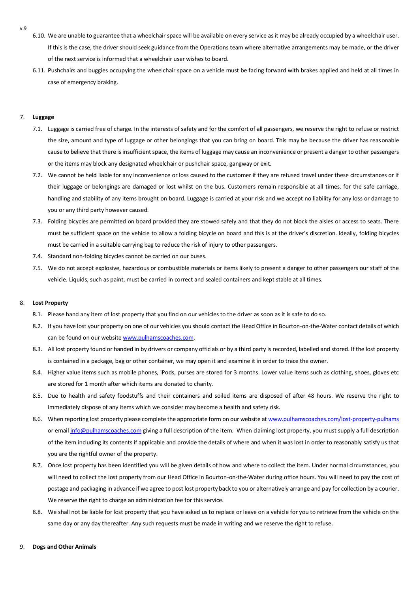- v.9
- 6.10. We are unable to guarantee that a wheelchair space will be available on every service as it may be already occupied by a wheelchair user. If this is the case, the driver should seek guidance from the Operations team where alternative arrangements may be made, or the driver of the next service is informed that a wheelchair user wishes to board.
- 6.11. Pushchairs and buggies occupying the wheelchair space on a vehicle must be facing forward with brakes applied and held at all times in case of emergency braking.

# 7. **Luggage**

- 7.1. Luggage is carried free of charge. In the interests of safety and for the comfort of all passengers, we reserve the right to refuse or restrict the size, amount and type of luggage or other belongings that you can bring on board. This may be because the driver has reasonable cause to believe that there is insufficient space, the items of luggage may cause an inconvenience or present a danger to other passengers or the items may block any designated wheelchair or pushchair space, gangway or exit.
- 7.2. We cannot be held liable for any inconvenience or loss caused to the customer if they are refused travel under these circumstances or if their luggage or belongings are damaged or lost whilst on the bus. Customers remain responsible at all times, for the safe carriage, handling and stability of any items brought on board. Luggage is carried at your risk and we accept no liability for any loss or damage to you or any third party however caused.
- 7.3. Folding bicycles are permitted on board provided they are stowed safely and that they do not block the aisles or access to seats. There must be sufficient space on the vehicle to allow a folding bicycle on board and this is at the driver's discretion. Ideally, folding bicycles must be carried in a suitable carrying bag to reduce the risk of injury to other passengers.
- 7.4. Standard non-folding bicycles cannot be carried on our buses.
- 7.5. We do not accept explosive, hazardous or combustible materials or items likely to present a danger to other passengers our staff of the vehicle. Liquids, such as paint, must be carried in correct and sealed containers and kept stable at all times.

#### 8. **Lost Property**

- 8.1. Please hand any item of lost property that you find on our vehicles to the driver as soon as it is safe to do so.
- 8.2. If you have lost your property on one of our vehicles you should contact the Head Office in Bourton-on-the-Water contact details of which can be found on our websit[e www.pulhamscoaches.com.](http://www.pulhamscoaches.com/)
- 8.3. All lost property found or handed in by drivers or company officials or by a third party is recorded, labelled and stored. If the lost property is contained in a package, bag or other container, we may open it and examine it in order to trace the owner.
- 8.4. Higher value items such as mobile phones, iPods, purses are stored for 3 months. Lower value items such as clothing, shoes, gloves etc are stored for 1 month after which items are donated to charity.
- 8.5. Due to health and safety foodstuffs and their containers and soiled items are disposed of after 48 hours. We reserve the right to immediately dispose of any items which we consider may become a health and safety risk.
- 8.6. When reporting lost property please complete the appropriate form on our website a[t www.pulhamscoaches.com/lost-property-pulhams](http://www.pulhamscoaches.com/lost-property-pulhams) or emai[l info@pulhamscoaches.com](mailto:info@pulhamscoaches.com) giving a full description of the item. When claiming lost property, you must supply a full description of the item including its contents if applicable and provide the details of where and when it was lost in order to reasonably satisfy us that you are the rightful owner of the property.
- 8.7. Once lost property has been identified you will be given details of how and where to collect the item. Under normal circumstances, you will need to collect the lost property from our Head Office in Bourton-on-the-Water during office hours. You will need to pay the cost of postage and packaging in advance if we agree to post lost property back to you or alternatively arrange and pay for collection by a courier. We reserve the right to charge an administration fee for this service.
- 8.8. We shall not be liable for lost property that you have asked us to replace or leave on a vehicle for you to retrieve from the vehicle on the same day or any day thereafter. Any such requests must be made in writing and we reserve the right to refuse.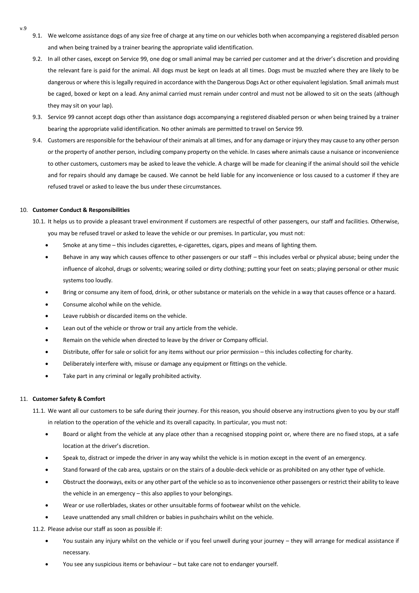- v.9
- 9.1. We welcome assistance dogs of any size free of charge at any time on our vehicles both when accompanying a registered disabled person and when being trained by a trainer bearing the appropriate valid identification.
- 9.2. In all other cases, except on Service 99, one dog or small animal may be carried per customer and at the driver's discretion and providing the relevant fare is paid for the animal. All dogs must be kept on leads at all times. Dogs must be muzzled where they are likely to be dangerous or where this is legally required in accordance with the Dangerous Dogs Act or other equivalent legislation. Small animals must be caged, boxed or kept on a lead. Any animal carried must remain under control and must not be allowed to sit on the seats (although they may sit on your lap).
- 9.3. Service 99 cannot accept dogs other than assistance dogs accompanying a registered disabled person or when being trained by a trainer bearing the appropriate valid identification. No other animals are permitted to travel on Service 99.
- 9.4. Customers are responsible for the behaviour of their animals at all times, and for any damage or injury they may cause to any other person or the property of another person, including company property on the vehicle. In cases where animals cause a nuisance or inconvenience to other customers, customers may be asked to leave the vehicle. A charge will be made for cleaning if the animal should soil the vehicle and for repairs should any damage be caused. We cannot be held liable for any inconvenience or loss caused to a customer if they are refused travel or asked to leave the bus under these circumstances.

# 10. **Customer Conduct & Responsibilities**

- 10.1. It helps us to provide a pleasant travel environment if customers are respectful of other passengers, our staff and facilities. Otherwise, you may be refused travel or asked to leave the vehicle or our premises. In particular, you must not:
	- Smoke at any time this includes cigarettes, e-cigarettes, cigars, pipes and means of lighting them.
	- Behave in any way which causes offence to other passengers or our staff this includes verbal or physical abuse; being under the influence of alcohol, drugs or solvents; wearing soiled or dirty clothing; putting your feet on seats; playing personal or other music systems too loudly.
	- Bring or consume any item of food, drink, or other substance or materials on the vehicle in a way that causes offence or a hazard.
	- Consume alcohol while on the vehicle.
	- Leave rubbish or discarded items on the vehicle.
	- Lean out of the vehicle or throw or trail any article from the vehicle.
	- Remain on the vehicle when directed to leave by the driver or Company official.
	- Distribute, offer for sale or solicit for any items without our prior permission this includes collecting for charity.
	- Deliberately interfere with, misuse or damage any equipment or fittings on the vehicle.
	- Take part in any criminal or legally prohibited activity.

#### 11. **Customer Safety & Comfort**

- 11.1. We want all our customers to be safe during their journey. For this reason, you should observe any instructions given to you by our staff in relation to the operation of the vehicle and its overall capacity. In particular, you must not:
	- Board or alight from the vehicle at any place other than a recognised stopping point or, where there are no fixed stops, at a safe location at the driver's discretion.
	- Speak to, distract or impede the driver in any way whilst the vehicle is in motion except in the event of an emergency.
	- Stand forward of the cab area, upstairs or on the stairs of a double-deck vehicle or as prohibited on any other type of vehicle.
	- Obstruct the doorways, exits or any other part of the vehicle so as to inconvenience other passengers or restrict their ability to leave the vehicle in an emergency – this also applies to your belongings.
	- Wear or use rollerblades, skates or other unsuitable forms of footwear whilst on the vehicle.
	- Leave unattended any small children or babies in pushchairs whilst on the vehicle.

11.2. Please advise our staff as soon as possible if:

- You sustain any injury whilst on the vehicle or if you feel unwell during your journey they will arrange for medical assistance if necessary.
- You see any suspicious items or behaviour but take care not to endanger yourself.